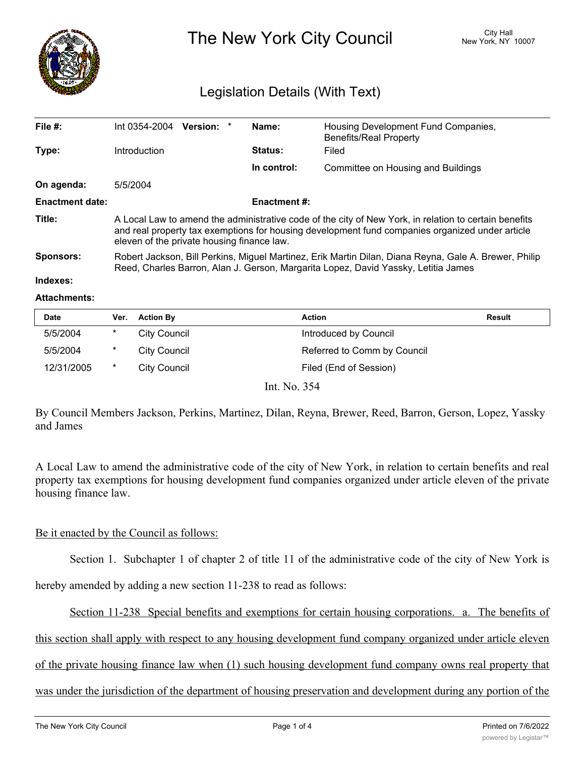

The New York City Council New York, NY 10007

# Legislation Details (With Text)

| File $#$ :             | Int 0354-2004                                                                                                                                                                                                                                          | Version: * |  | Name:       | Housing Development Fund Companies,<br><b>Benefits/Real Property</b> |  |
|------------------------|--------------------------------------------------------------------------------------------------------------------------------------------------------------------------------------------------------------------------------------------------------|------------|--|-------------|----------------------------------------------------------------------|--|
| Type:                  | <b>Introduction</b>                                                                                                                                                                                                                                    |            |  | Status:     | Filed                                                                |  |
|                        |                                                                                                                                                                                                                                                        |            |  | In control: | Committee on Housing and Buildings                                   |  |
| On agenda:             | 5/5/2004                                                                                                                                                                                                                                               |            |  |             |                                                                      |  |
| <b>Enactment date:</b> | <b>Enactment #:</b>                                                                                                                                                                                                                                    |            |  |             |                                                                      |  |
| Title:                 | A Local Law to amend the administrative code of the city of New York, in relation to certain benefits<br>and real property tax exemptions for housing development fund companies organized under article<br>eleven of the private housing finance law. |            |  |             |                                                                      |  |
| Sponsors:              | Robert Jackson, Bill Perkins, Miguel Martinez, Erik Martin Dilan, Diana Reyna, Gale A. Brewer, Philip<br>Reed, Charles Barron, Alan J. Gerson, Margarita Lopez, David Yassky, Letitia James                                                            |            |  |             |                                                                      |  |

# **Indexes:**

#### **Attachments:**

| Date       | Ver.     | <b>Action By</b>    | <b>Action</b>               | <b>Result</b> |
|------------|----------|---------------------|-----------------------------|---------------|
| 5/5/2004   | *        | City Council        | Introduced by Council       |               |
| 5/5/2004   | $^\star$ | <b>City Council</b> | Referred to Comm by Council |               |
| 12/31/2005 | *        | City Council        | Filed (End of Session)      |               |
|            |          |                     | Int. No. 354                |               |

By Council Members Jackson, Perkins, Martinez, Dilan, Reyna, Brewer, Reed, Barron, Gerson, Lopez, Yassky and James

A Local Law to amend the administrative code of the city of New York, in relation to certain benefits and real property tax exemptions for housing development fund companies organized under article eleven of the private housing finance law.

### Be it enacted by the Council as follows:

Section 1. Subchapter 1 of chapter 2 of title 11 of the administrative code of the city of New York is

hereby amended by adding a new section 11-238 to read as follows:

Section 11-238 Special benefits and exemptions for certain housing corporations. a. The benefits of

this section shall apply with respect to any housing development fund company organized under article eleven

of the private housing finance law when (1) such housing development fund company owns real property that

was under the jurisdiction of the department of housing preservation and development during any portion of the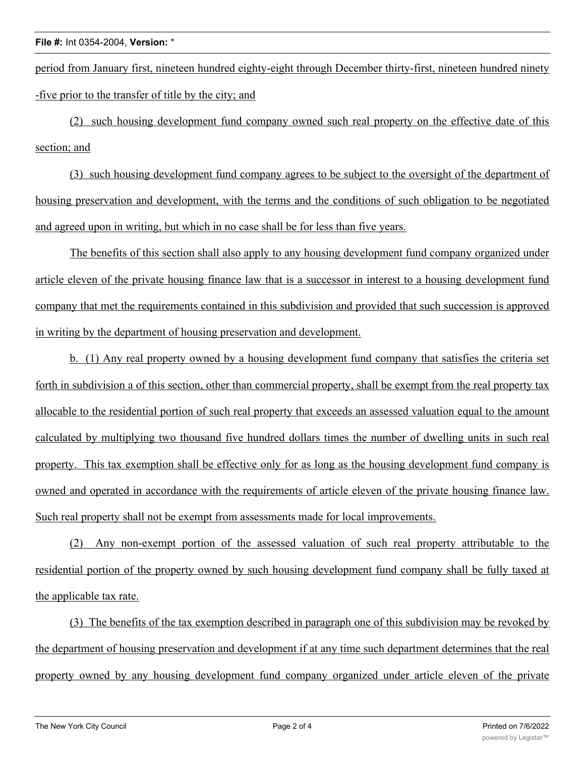period from January first, nineteen hundred eighty-eight through December thirty-first, nineteen hundred ninety -five prior to the transfer of title by the city; and

(2) such housing development fund company owned such real property on the effective date of this section; and

(3) such housing development fund company agrees to be subject to the oversight of the department of housing preservation and development, with the terms and the conditions of such obligation to be negotiated and agreed upon in writing, but which in no case shall be for less than five years.

The benefits of this section shall also apply to any housing development fund company organized under article eleven of the private housing finance law that is a successor in interest to a housing development fund company that met the requirements contained in this subdivision and provided that such succession is approved in writing by the department of housing preservation and development.

b. (1) Any real property owned by a housing development fund company that satisfies the criteria set forth in subdivision a of this section, other than commercial property, shall be exempt from the real property tax allocable to the residential portion of such real property that exceeds an assessed valuation equal to the amount calculated by multiplying two thousand five hundred dollars times the number of dwelling units in such real property. This tax exemption shall be effective only for as long as the housing development fund company is owned and operated in accordance with the requirements of article eleven of the private housing finance law. Such real property shall not be exempt from assessments made for local improvements.

(2) Any non-exempt portion of the assessed valuation of such real property attributable to the residential portion of the property owned by such housing development fund company shall be fully taxed at the applicable tax rate.

(3) The benefits of the tax exemption described in paragraph one of this subdivision may be revoked by the department of housing preservation and development if at any time such department determines that the real property owned by any housing development fund company organized under article eleven of the private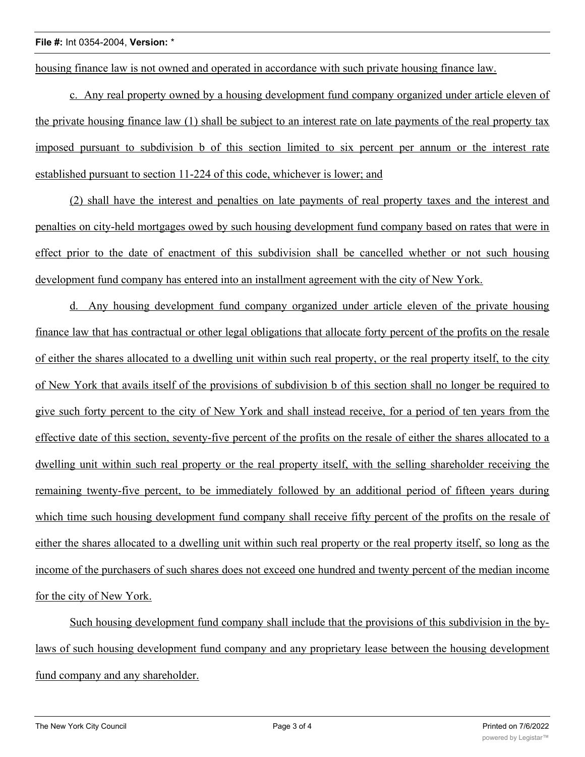# **File #:** Int 0354-2004, **Version:** \*

housing finance law is not owned and operated in accordance with such private housing finance law.

c. Any real property owned by a housing development fund company organized under article eleven of the private housing finance law (1) shall be subject to an interest rate on late payments of the real property tax imposed pursuant to subdivision b of this section limited to six percent per annum or the interest rate established pursuant to section 11-224 of this code, whichever is lower; and

(2) shall have the interest and penalties on late payments of real property taxes and the interest and penalties on city-held mortgages owed by such housing development fund company based on rates that were in effect prior to the date of enactment of this subdivision shall be cancelled whether or not such housing development fund company has entered into an installment agreement with the city of New York.

d. Any housing development fund company organized under article eleven of the private housing finance law that has contractual or other legal obligations that allocate forty percent of the profits on the resale of either the shares allocated to a dwelling unit within such real property, or the real property itself, to the city of New York that avails itself of the provisions of subdivision b of this section shall no longer be required to give such forty percent to the city of New York and shall instead receive, for a period of ten years from the effective date of this section, seventy-five percent of the profits on the resale of either the shares allocated to a dwelling unit within such real property or the real property itself, with the selling shareholder receiving the remaining twenty-five percent, to be immediately followed by an additional period of fifteen years during which time such housing development fund company shall receive fifty percent of the profits on the resale of either the shares allocated to a dwelling unit within such real property or the real property itself, so long as the income of the purchasers of such shares does not exceed one hundred and twenty percent of the median income for the city of New York.

Such housing development fund company shall include that the provisions of this subdivision in the bylaws of such housing development fund company and any proprietary lease between the housing development fund company and any shareholder.